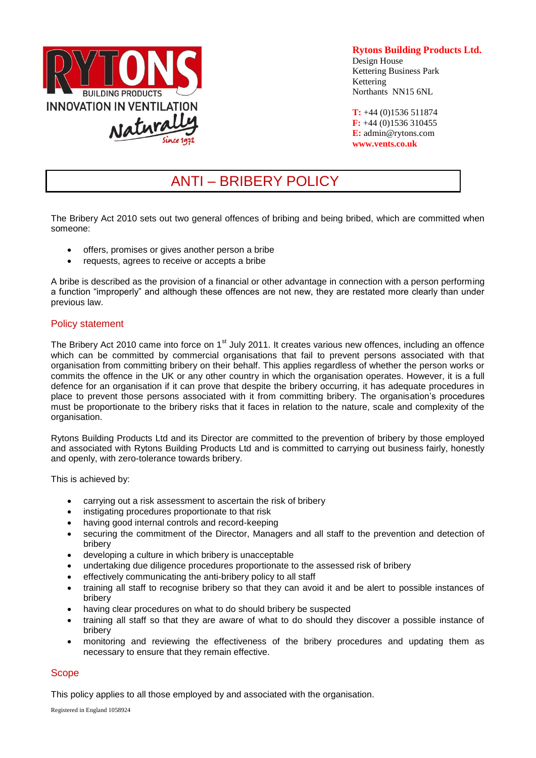

# **Rytons Building Products Ltd.**

Design House Kettering Business Park Kettering Northants NN15 6NL

**T:** +44 (0)1536 511874 **F:** +44 (0)1536 310455 **E:** admin@rytons.com **[www.vents.co.uk](http://www.vents.co.uk/)**

# ANTI – BRIBERY POLICY

The Bribery Act 2010 sets out two general offences of bribing and being bribed, which are committed when someone:

- offers, promises or gives another person a bribe
- requests, agrees to receive or accepts a bribe

A bribe is described as the provision of a financial or other advantage in connection with a person performing a function "improperly" and although these offences are not new, they are restated more clearly than under previous law.

# Policy statement

The Bribery Act 2010 came into force on 1<sup>st</sup> July 2011. It creates various new offences, including an offence which can be committed by commercial organisations that fail to prevent persons associated with that organisation from committing bribery on their behalf. This applies regardless of whether the person works or commits the offence in the UK or any other country in which the organisation operates. However, it is a full defence for an organisation if it can prove that despite the bribery occurring, it has adequate procedures in place to prevent those persons associated with it from committing bribery. The organisation's procedures must be proportionate to the bribery risks that it faces in relation to the nature, scale and complexity of the organisation.

Rytons Building Products Ltd and its Director are committed to the prevention of bribery by those employed and associated with Rytons Building Products Ltd and is committed to carrying out business fairly, honestly and openly, with zero-tolerance towards bribery.

This is achieved by:

- carrying out a risk assessment to ascertain the risk of bribery
- instigating procedures proportionate to that risk
- having good internal controls and record-keeping
- securing the commitment of the Director, Managers and all staff to the prevention and detection of bribery
- developing a culture in which bribery is unacceptable
- undertaking due diligence procedures proportionate to the assessed risk of bribery
- effectively communicating the anti-bribery policy to all staff
- training all staff to recognise bribery so that they can avoid it and be alert to possible instances of bribery
- having clear procedures on what to do should bribery be suspected
- training all staff so that they are aware of what to do should they discover a possible instance of bribery
- monitoring and reviewing the effectiveness of the bribery procedures and updating them as necessary to ensure that they remain effective.

# **Scope**

This policy applies to all those employed by and associated with the organisation.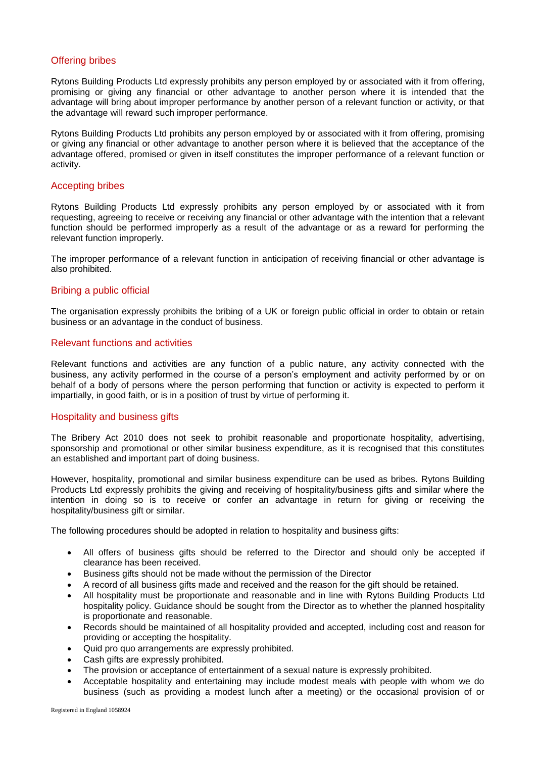# Offering bribes

Rytons Building Products Ltd expressly prohibits any person employed by or associated with it from offering, promising or giving any financial or other advantage to another person where it is intended that the advantage will bring about improper performance by another person of a relevant function or activity, or that the advantage will reward such improper performance.

Rytons Building Products Ltd prohibits any person employed by or associated with it from offering, promising or giving any financial or other advantage to another person where it is believed that the acceptance of the advantage offered, promised or given in itself constitutes the improper performance of a relevant function or activity.

## Accepting bribes

Rytons Building Products Ltd expressly prohibits any person employed by or associated with it from requesting, agreeing to receive or receiving any financial or other advantage with the intention that a relevant function should be performed improperly as a result of the advantage or as a reward for performing the relevant function improperly.

The improper performance of a relevant function in anticipation of receiving financial or other advantage is also prohibited.

## Bribing a public official

The organisation expressly prohibits the bribing of a UK or foreign public official in order to obtain or retain business or an advantage in the conduct of business.

## Relevant functions and activities

Relevant functions and activities are any function of a public nature, any activity connected with the business, any activity performed in the course of a person's employment and activity performed by or on behalf of a body of persons where the person performing that function or activity is expected to perform it impartially, in good faith, or is in a position of trust by virtue of performing it.

#### Hospitality and business gifts

The Bribery Act 2010 does not seek to prohibit reasonable and proportionate hospitality, advertising, sponsorship and promotional or other similar business expenditure, as it is recognised that this constitutes an established and important part of doing business.

However, hospitality, promotional and similar business expenditure can be used as bribes. Rytons Building Products Ltd expressly prohibits the giving and receiving of hospitality/business gifts and similar where the intention in doing so is to receive or confer an advantage in return for giving or receiving the hospitality/business gift or similar.

The following procedures should be adopted in relation to hospitality and business gifts:

- All offers of business gifts should be referred to the Director and should only be accepted if clearance has been received.
- Business gifts should not be made without the permission of the Director
- A record of all business gifts made and received and the reason for the gift should be retained.
- All hospitality must be proportionate and reasonable and in line with Rytons Building Products Ltd hospitality policy. Guidance should be sought from the Director as to whether the planned hospitality is proportionate and reasonable.
- Records should be maintained of all hospitality provided and accepted, including cost and reason for providing or accepting the hospitality.
- Quid pro quo arrangements are expressly prohibited.
- Cash gifts are expressly prohibited.
- The provision or acceptance of entertainment of a sexual nature is expressly prohibited.
- Acceptable hospitality and entertaining may include modest meals with people with whom we do business (such as providing a modest lunch after a meeting) or the occasional provision of or